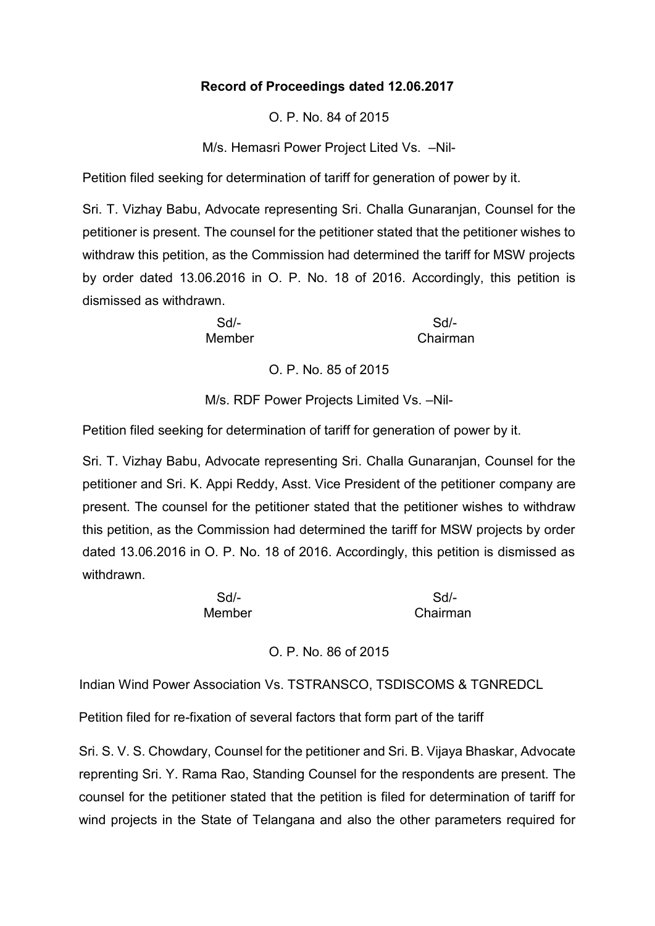## **Record of Proceedings dated 12.06.2017**

O. P. No. 84 of 2015

M/s. Hemasri Power Project Lited Vs. –Nil-

Petition filed seeking for determination of tariff for generation of power by it.

Sri. T. Vizhay Babu, Advocate representing Sri. Challa Gunaranjan, Counsel for the petitioner is present. The counsel for the petitioner stated that the petitioner wishes to withdraw this petition, as the Commission had determined the tariff for MSW projects by order dated 13.06.2016 in O. P. No. 18 of 2016. Accordingly, this petition is dismissed as withdrawn.

Sd/- Sd/- Member **Chairman** 

O. P. No. 85 of 2015

M/s. RDF Power Projects Limited Vs. –Nil-

Petition filed seeking for determination of tariff for generation of power by it.

Sri. T. Vizhay Babu, Advocate representing Sri. Challa Gunaranjan, Counsel for the petitioner and Sri. K. Appi Reddy, Asst. Vice President of the petitioner company are present. The counsel for the petitioner stated that the petitioner wishes to withdraw this petition, as the Commission had determined the tariff for MSW projects by order dated 13.06.2016 in O. P. No. 18 of 2016. Accordingly, this petition is dismissed as withdrawn.

| $Sd$ -        | $Sd$ -   |
|---------------|----------|
| <b>Member</b> | Chairman |

O. P. No. 86 of 2015

Indian Wind Power Association Vs. TSTRANSCO, TSDISCOMS & TGNREDCL

Petition filed for re-fixation of several factors that form part of the tariff

Sri. S. V. S. Chowdary, Counsel for the petitioner and Sri. B. Vijaya Bhaskar, Advocate reprenting Sri. Y. Rama Rao, Standing Counsel for the respondents are present. The counsel for the petitioner stated that the petition is filed for determination of tariff for wind projects in the State of Telangana and also the other parameters required for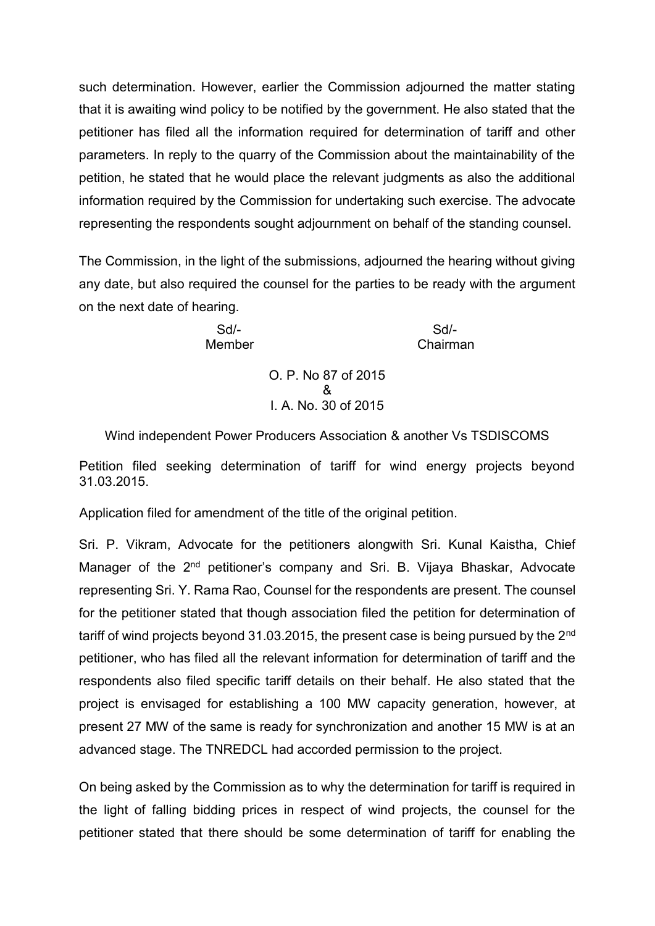such determination. However, earlier the Commission adjourned the matter stating that it is awaiting wind policy to be notified by the government. He also stated that the petitioner has filed all the information required for determination of tariff and other parameters. In reply to the quarry of the Commission about the maintainability of the petition, he stated that he would place the relevant judgments as also the additional information required by the Commission for undertaking such exercise. The advocate representing the respondents sought adjournment on behalf of the standing counsel.

The Commission, in the light of the submissions, adjourned the hearing without giving any date, but also required the counsel for the parties to be ready with the argument on the next date of hearing.

Sd/- Sd/- Member Chairman

> O. P. No 87 of 2015 & I. A. No. 30 of 2015

Wind independent Power Producers Association & another Vs TSDISCOMS

Petition filed seeking determination of tariff for wind energy projects beyond 31.03.2015.

Application filed for amendment of the title of the original petition.

Sri. P. Vikram, Advocate for the petitioners alongwith Sri. Kunal Kaistha, Chief Manager of the 2<sup>nd</sup> petitioner's company and Sri. B. Vijaya Bhaskar, Advocate representing Sri. Y. Rama Rao, Counsel for the respondents are present. The counsel for the petitioner stated that though association filed the petition for determination of tariff of wind projects beyond 31.03.2015, the present case is being pursued by the 2<sup>nd</sup> petitioner, who has filed all the relevant information for determination of tariff and the respondents also filed specific tariff details on their behalf. He also stated that the project is envisaged for establishing a 100 MW capacity generation, however, at present 27 MW of the same is ready for synchronization and another 15 MW is at an advanced stage. The TNREDCL had accorded permission to the project.

On being asked by the Commission as to why the determination for tariff is required in the light of falling bidding prices in respect of wind projects, the counsel for the petitioner stated that there should be some determination of tariff for enabling the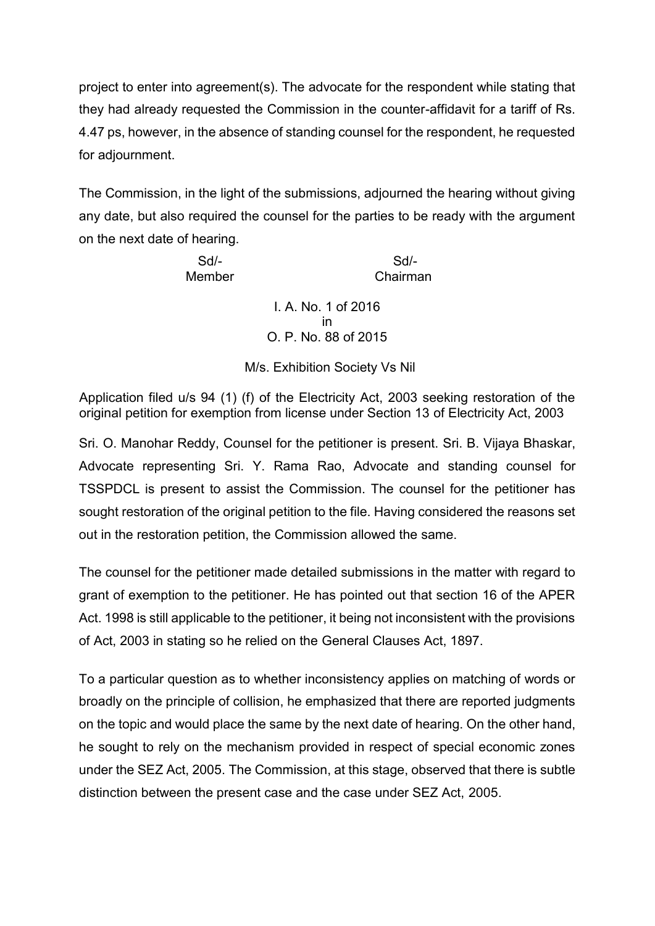project to enter into agreement(s). The advocate for the respondent while stating that they had already requested the Commission in the counter-affidavit for a tariff of Rs. 4.47 ps, however, in the absence of standing counsel for the respondent, he requested for adjournment.

The Commission, in the light of the submissions, adjourned the hearing without giving any date, but also required the counsel for the parties to be ready with the argument on the next date of hearing.

Sd/- Sd/- Member Chairman

> I. A. No. 1 of 2016 in O. P. No. 88 of 2015

M/s. Exhibition Society Vs Nil

Application filed u/s 94 (1) (f) of the Electricity Act, 2003 seeking restoration of the original petition for exemption from license under Section 13 of Electricity Act, 2003

Sri. O. Manohar Reddy, Counsel for the petitioner is present. Sri. B. Vijaya Bhaskar, Advocate representing Sri. Y. Rama Rao, Advocate and standing counsel for TSSPDCL is present to assist the Commission. The counsel for the petitioner has sought restoration of the original petition to the file. Having considered the reasons set out in the restoration petition, the Commission allowed the same.

The counsel for the petitioner made detailed submissions in the matter with regard to grant of exemption to the petitioner. He has pointed out that section 16 of the APER Act. 1998 is still applicable to the petitioner, it being not inconsistent with the provisions of Act, 2003 in stating so he relied on the General Clauses Act, 1897.

To a particular question as to whether inconsistency applies on matching of words or broadly on the principle of collision, he emphasized that there are reported judgments on the topic and would place the same by the next date of hearing. On the other hand, he sought to rely on the mechanism provided in respect of special economic zones under the SEZ Act, 2005. The Commission, at this stage, observed that there is subtle distinction between the present case and the case under SEZ Act, 2005.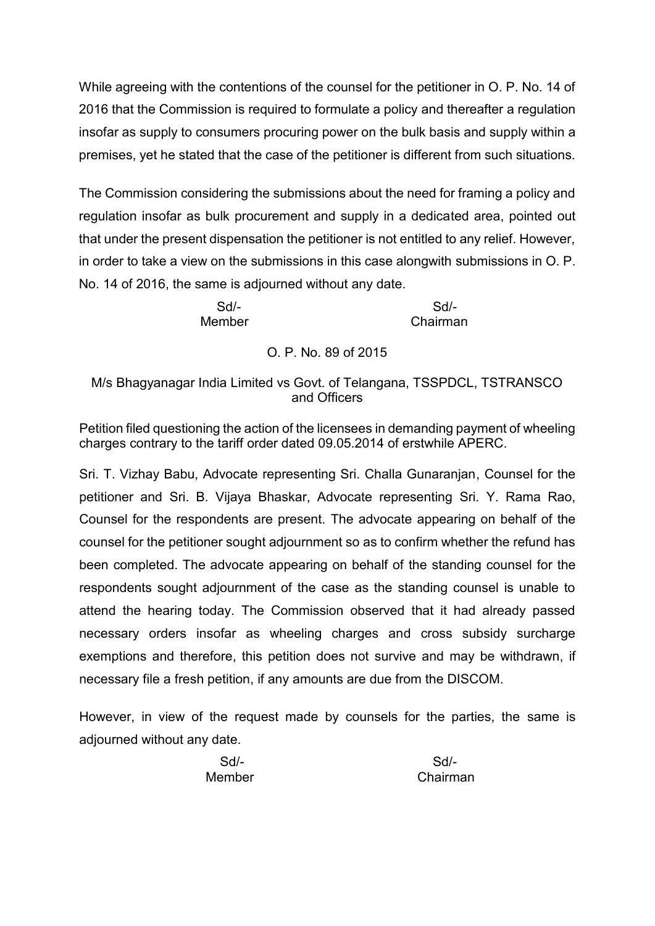While agreeing with the contentions of the counsel for the petitioner in O. P. No. 14 of 2016 that the Commission is required to formulate a policy and thereafter a regulation insofar as supply to consumers procuring power on the bulk basis and supply within a premises, yet he stated that the case of the petitioner is different from such situations.

The Commission considering the submissions about the need for framing a policy and regulation insofar as bulk procurement and supply in a dedicated area, pointed out that under the present dispensation the petitioner is not entitled to any relief. However, in order to take a view on the submissions in this case alongwith submissions in O. P. No. 14 of 2016, the same is adjourned without any date.

Sd/- Sd/- Member Chairman

O. P. No. 89 of 2015

## M/s Bhagyanagar India Limited vs Govt. of Telangana, TSSPDCL, TSTRANSCO and Officers

Petition filed questioning the action of the licensees in demanding payment of wheeling charges contrary to the tariff order dated 09.05.2014 of erstwhile APERC.

Sri. T. Vizhay Babu, Advocate representing Sri. Challa Gunaranjan, Counsel for the petitioner and Sri. B. Vijaya Bhaskar, Advocate representing Sri. Y. Rama Rao, Counsel for the respondents are present. The advocate appearing on behalf of the counsel for the petitioner sought adjournment so as to confirm whether the refund has been completed. The advocate appearing on behalf of the standing counsel for the respondents sought adjournment of the case as the standing counsel is unable to attend the hearing today. The Commission observed that it had already passed necessary orders insofar as wheeling charges and cross subsidy surcharge exemptions and therefore, this petition does not survive and may be withdrawn, if necessary file a fresh petition, if any amounts are due from the DISCOM.

However, in view of the request made by counsels for the parties, the same is adjourned without any date.

Sd/- Sd/- Member Chairman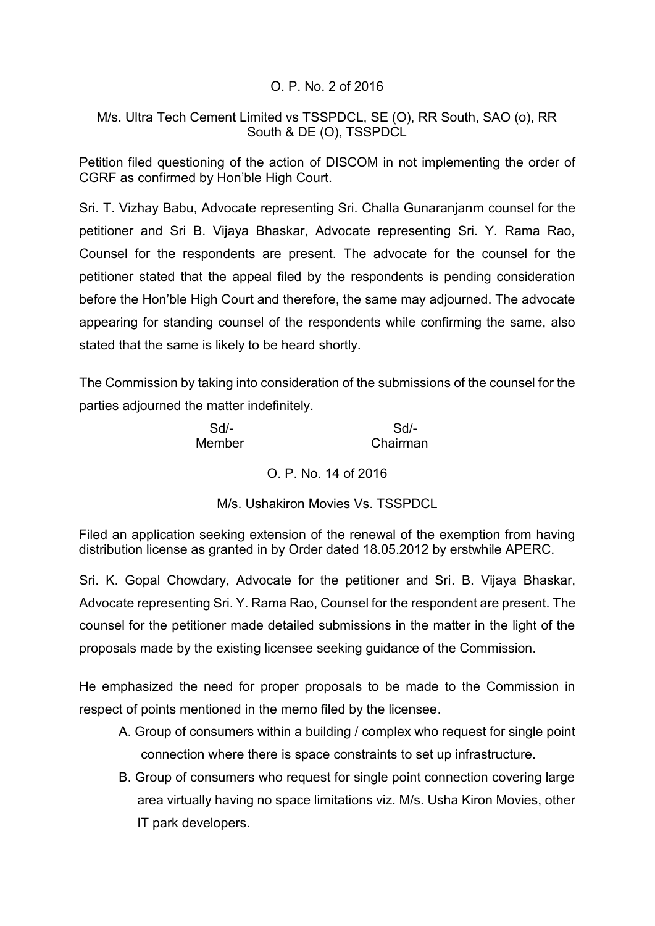## O. P. No. 2 of 2016

## M/s. Ultra Tech Cement Limited vs TSSPDCL, SE (O), RR South, SAO (o), RR South & DE (O), TSSPDCL

Petition filed questioning of the action of DISCOM in not implementing the order of CGRF as confirmed by Hon'ble High Court.

Sri. T. Vizhay Babu, Advocate representing Sri. Challa Gunaranjanm counsel for the petitioner and Sri B. Vijaya Bhaskar, Advocate representing Sri. Y. Rama Rao, Counsel for the respondents are present. The advocate for the counsel for the petitioner stated that the appeal filed by the respondents is pending consideration before the Hon'ble High Court and therefore, the same may adjourned. The advocate appearing for standing counsel of the respondents while confirming the same, also stated that the same is likely to be heard shortly.

The Commission by taking into consideration of the submissions of the counsel for the parties adjourned the matter indefinitely.

Member Chairman

Sd/- Sd/-

O. P. No. 14 of 2016

M/s. Ushakiron Movies Vs. TSSPDCL

Filed an application seeking extension of the renewal of the exemption from having distribution license as granted in by Order dated 18.05.2012 by erstwhile APERC.

Sri. K. Gopal Chowdary, Advocate for the petitioner and Sri. B. Vijaya Bhaskar, Advocate representing Sri. Y. Rama Rao, Counsel for the respondent are present. The counsel for the petitioner made detailed submissions in the matter in the light of the proposals made by the existing licensee seeking guidance of the Commission.

He emphasized the need for proper proposals to be made to the Commission in respect of points mentioned in the memo filed by the licensee.

- A. Group of consumers within a building / complex who request for single point connection where there is space constraints to set up infrastructure.
- B. Group of consumers who request for single point connection covering large area virtually having no space limitations viz. M/s. Usha Kiron Movies, other IT park developers.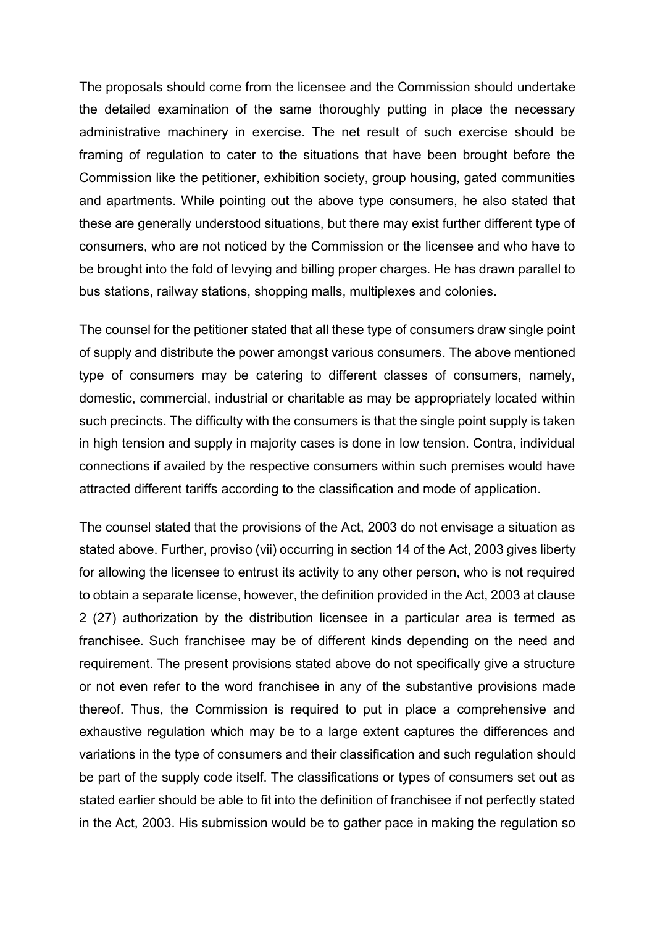The proposals should come from the licensee and the Commission should undertake the detailed examination of the same thoroughly putting in place the necessary administrative machinery in exercise. The net result of such exercise should be framing of regulation to cater to the situations that have been brought before the Commission like the petitioner, exhibition society, group housing, gated communities and apartments. While pointing out the above type consumers, he also stated that these are generally understood situations, but there may exist further different type of consumers, who are not noticed by the Commission or the licensee and who have to be brought into the fold of levying and billing proper charges. He has drawn parallel to bus stations, railway stations, shopping malls, multiplexes and colonies.

The counsel for the petitioner stated that all these type of consumers draw single point of supply and distribute the power amongst various consumers. The above mentioned type of consumers may be catering to different classes of consumers, namely, domestic, commercial, industrial or charitable as may be appropriately located within such precincts. The difficulty with the consumers is that the single point supply is taken in high tension and supply in majority cases is done in low tension. Contra, individual connections if availed by the respective consumers within such premises would have attracted different tariffs according to the classification and mode of application.

The counsel stated that the provisions of the Act, 2003 do not envisage a situation as stated above. Further, proviso (vii) occurring in section 14 of the Act, 2003 gives liberty for allowing the licensee to entrust its activity to any other person, who is not required to obtain a separate license, however, the definition provided in the Act, 2003 at clause 2 (27) authorization by the distribution licensee in a particular area is termed as franchisee. Such franchisee may be of different kinds depending on the need and requirement. The present provisions stated above do not specifically give a structure or not even refer to the word franchisee in any of the substantive provisions made thereof. Thus, the Commission is required to put in place a comprehensive and exhaustive regulation which may be to a large extent captures the differences and variations in the type of consumers and their classification and such regulation should be part of the supply code itself. The classifications or types of consumers set out as stated earlier should be able to fit into the definition of franchisee if not perfectly stated in the Act, 2003. His submission would be to gather pace in making the regulation so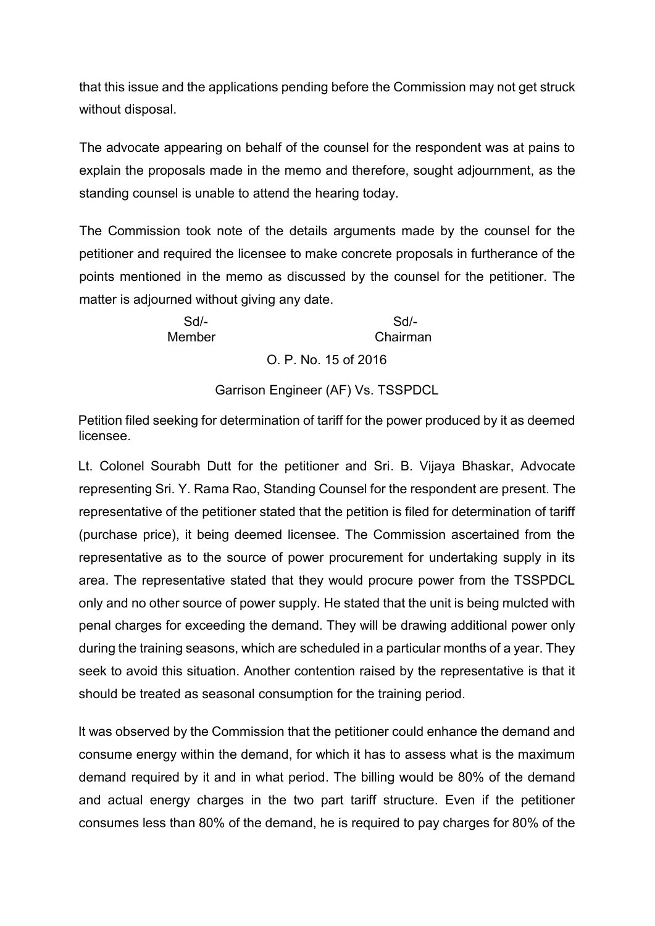that this issue and the applications pending before the Commission may not get struck without disposal.

The advocate appearing on behalf of the counsel for the respondent was at pains to explain the proposals made in the memo and therefore, sought adjournment, as the standing counsel is unable to attend the hearing today.

The Commission took note of the details arguments made by the counsel for the petitioner and required the licensee to make concrete proposals in furtherance of the points mentioned in the memo as discussed by the counsel for the petitioner. The matter is adjourned without giving any date.

> Sd/- Sd/- Member Chairman

O. P. No. 15 of 2016

Garrison Engineer (AF) Vs. TSSPDCL

Petition filed seeking for determination of tariff for the power produced by it as deemed licensee.

Lt. Colonel Sourabh Dutt for the petitioner and Sri. B. Vijaya Bhaskar, Advocate representing Sri. Y. Rama Rao, Standing Counsel for the respondent are present. The representative of the petitioner stated that the petition is filed for determination of tariff (purchase price), it being deemed licensee. The Commission ascertained from the representative as to the source of power procurement for undertaking supply in its area. The representative stated that they would procure power from the TSSPDCL only and no other source of power supply. He stated that the unit is being mulcted with penal charges for exceeding the demand. They will be drawing additional power only during the training seasons, which are scheduled in a particular months of a year. They seek to avoid this situation. Another contention raised by the representative is that it should be treated as seasonal consumption for the training period.

It was observed by the Commission that the petitioner could enhance the demand and consume energy within the demand, for which it has to assess what is the maximum demand required by it and in what period. The billing would be 80% of the demand and actual energy charges in the two part tariff structure. Even if the petitioner consumes less than 80% of the demand, he is required to pay charges for 80% of the